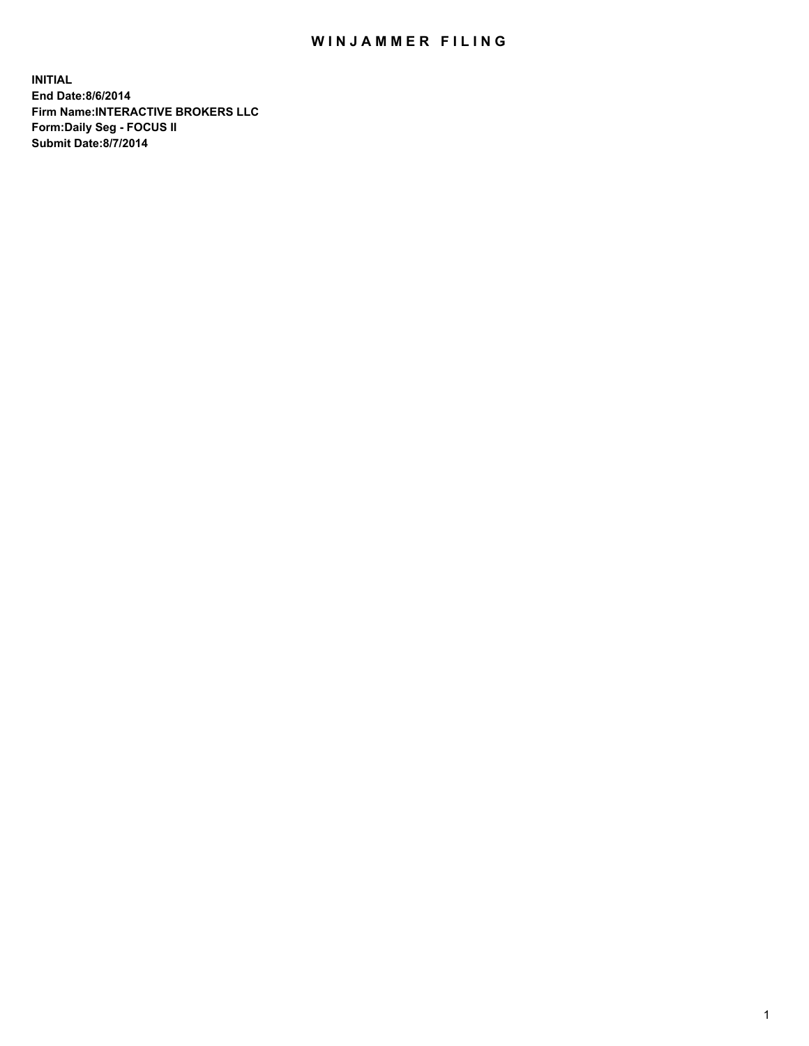## WIN JAMMER FILING

**INITIAL End Date:8/6/2014 Firm Name:INTERACTIVE BROKERS LLC Form:Daily Seg - FOCUS II Submit Date:8/7/2014**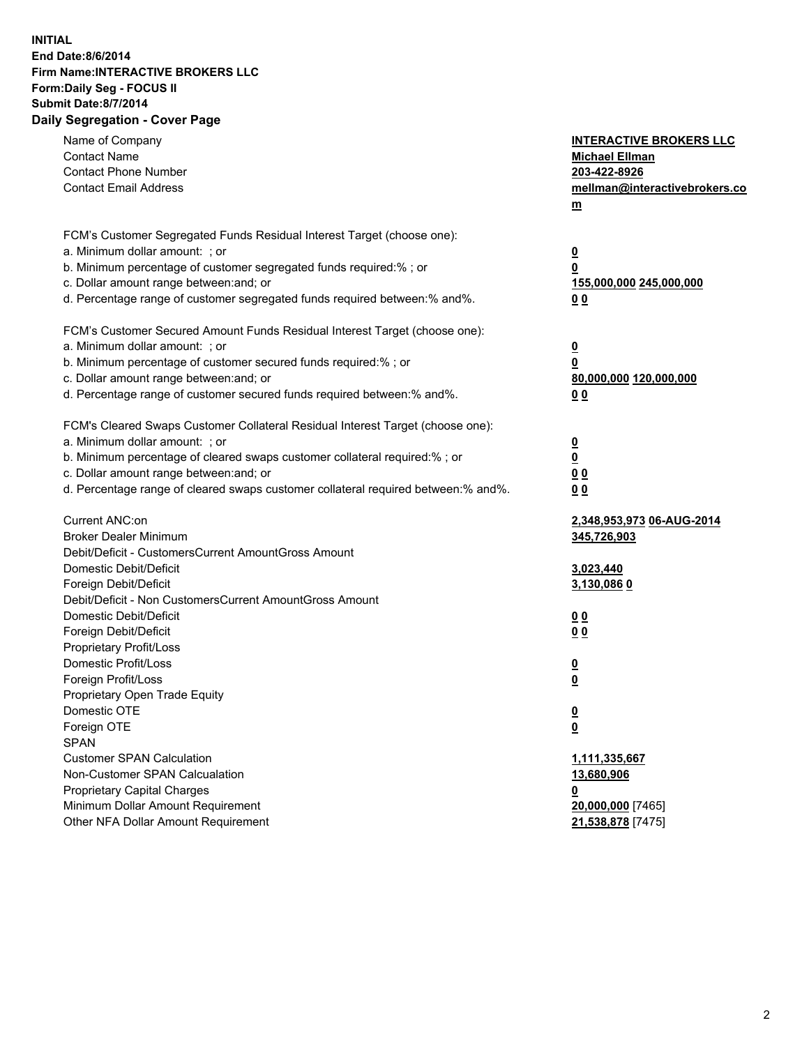## **INITIAL End Date:8/6/2014 Firm Name:INTERACTIVE BROKERS LLC Form:Daily Seg - FOCUS II Submit Date:8/7/2014 Daily Segregation - Cover Page**

| <b>Contact Name</b><br><b>Michael Ellman</b><br><b>Contact Phone Number</b><br>203-422-8926           |  |
|-------------------------------------------------------------------------------------------------------|--|
|                                                                                                       |  |
|                                                                                                       |  |
| <b>Contact Email Address</b><br>mellman@interactivebrokers.co                                         |  |
| $\underline{\mathbf{m}}$                                                                              |  |
| FCM's Customer Segregated Funds Residual Interest Target (choose one):                                |  |
| a. Minimum dollar amount: ; or<br>$\overline{\mathbf{0}}$                                             |  |
| b. Minimum percentage of customer segregated funds required:% ; or<br>0                               |  |
| c. Dollar amount range between: and; or<br>155,000,000 245,000,000                                    |  |
| d. Percentage range of customer segregated funds required between:% and%.<br>00                       |  |
| FCM's Customer Secured Amount Funds Residual Interest Target (choose one):                            |  |
| a. Minimum dollar amount: ; or<br>$\overline{\mathbf{0}}$                                             |  |
| b. Minimum percentage of customer secured funds required:% ; or<br>0                                  |  |
| c. Dollar amount range between: and; or<br>80,000,000 120,000,000                                     |  |
| d. Percentage range of customer secured funds required between:% and%.<br>00                          |  |
|                                                                                                       |  |
| FCM's Cleared Swaps Customer Collateral Residual Interest Target (choose one):                        |  |
| a. Minimum dollar amount: ; or<br>$\overline{\mathbf{0}}$                                             |  |
| $\overline{\mathbf{0}}$<br>b. Minimum percentage of cleared swaps customer collateral required:% ; or |  |
| c. Dollar amount range between: and; or<br>0 <sub>0</sub>                                             |  |
| d. Percentage range of cleared swaps customer collateral required between:% and%.<br>0 <sub>0</sub>   |  |
| Current ANC:on<br>2,348,953,973 06-AUG-2014                                                           |  |
| <b>Broker Dealer Minimum</b><br>345,726,903                                                           |  |
| Debit/Deficit - CustomersCurrent AmountGross Amount                                                   |  |
| Domestic Debit/Deficit<br>3,023,440                                                                   |  |
| Foreign Debit/Deficit<br>3,130,086 0                                                                  |  |
| Debit/Deficit - Non CustomersCurrent AmountGross Amount                                               |  |
| Domestic Debit/Deficit<br>0 <sub>0</sub>                                                              |  |
| Foreign Debit/Deficit<br>0 <sub>0</sub>                                                               |  |
| Proprietary Profit/Loss                                                                               |  |
| Domestic Profit/Loss<br>$\overline{\mathbf{0}}$                                                       |  |
| Foreign Profit/Loss<br>$\underline{\mathbf{0}}$                                                       |  |
| Proprietary Open Trade Equity                                                                         |  |
| Domestic OTE<br><u>0</u>                                                                              |  |
| Foreign OTE<br><u>0</u>                                                                               |  |
| <b>SPAN</b>                                                                                           |  |
| <b>Customer SPAN Calculation</b><br>1,111,335,667                                                     |  |
| Non-Customer SPAN Calcualation<br>13,680,906                                                          |  |
| Proprietary Capital Charges<br><u>0</u>                                                               |  |
| Minimum Dollar Amount Requirement<br>20,000,000 [7465]                                                |  |
| Other NFA Dollar Amount Requirement<br>21,538,878 [7475]                                              |  |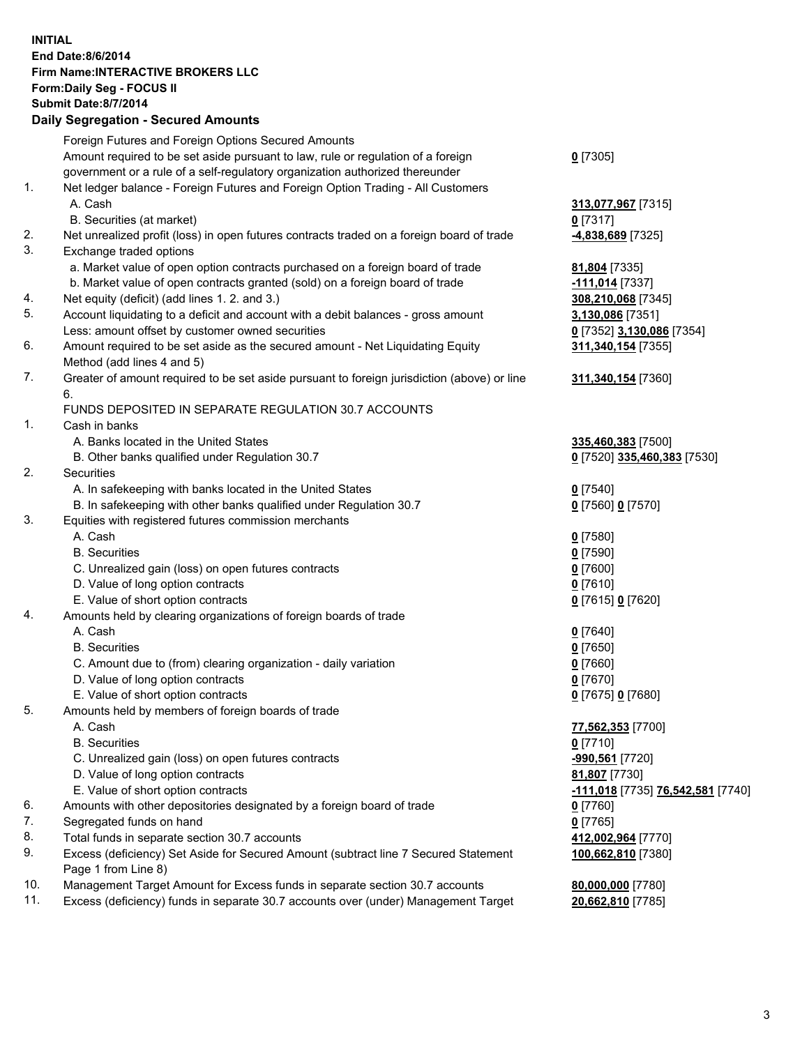## **INITIAL End Date:8/6/2014 Firm Name:INTERACTIVE BROKERS LLC Form:Daily Seg - FOCUS II Submit Date:8/7/2014 Daily Segregation - Secured Amounts**

| Foreign Futures and Foreign Options Secured Amounts                                         |                                                                                                                                                                                                                    |
|---------------------------------------------------------------------------------------------|--------------------------------------------------------------------------------------------------------------------------------------------------------------------------------------------------------------------|
| Amount required to be set aside pursuant to law, rule or regulation of a foreign            | $0$ [7305]                                                                                                                                                                                                         |
| government or a rule of a self-regulatory organization authorized thereunder                |                                                                                                                                                                                                                    |
| Net ledger balance - Foreign Futures and Foreign Option Trading - All Customers             |                                                                                                                                                                                                                    |
| A. Cash                                                                                     | 313,077,967 [7315]                                                                                                                                                                                                 |
| B. Securities (at market)                                                                   | $0$ [7317]                                                                                                                                                                                                         |
| Net unrealized profit (loss) in open futures contracts traded on a foreign board of trade   | -4,838,689 [7325]                                                                                                                                                                                                  |
| Exchange traded options                                                                     |                                                                                                                                                                                                                    |
| a. Market value of open option contracts purchased on a foreign board of trade              | 81,804 [7335]                                                                                                                                                                                                      |
| b. Market value of open contracts granted (sold) on a foreign board of trade                | <u>-111,014</u> [7337]                                                                                                                                                                                             |
| Net equity (deficit) (add lines 1. 2. and 3.)                                               | 308,210,068 [7345]                                                                                                                                                                                                 |
| Account liquidating to a deficit and account with a debit balances - gross amount           | 3,130,086 [7351]                                                                                                                                                                                                   |
| Less: amount offset by customer owned securities                                            | 0 [7352] 3,130,086 [7354]                                                                                                                                                                                          |
| Amount required to be set aside as the secured amount - Net Liquidating Equity              | 311,340,154 [7355]                                                                                                                                                                                                 |
| Method (add lines 4 and 5)                                                                  |                                                                                                                                                                                                                    |
| Greater of amount required to be set aside pursuant to foreign jurisdiction (above) or line | 311,340,154 [7360]                                                                                                                                                                                                 |
| 6.                                                                                          |                                                                                                                                                                                                                    |
| FUNDS DEPOSITED IN SEPARATE REGULATION 30.7 ACCOUNTS                                        |                                                                                                                                                                                                                    |
| Cash in banks                                                                               |                                                                                                                                                                                                                    |
| A. Banks located in the United States                                                       | 335,460,383 [7500]                                                                                                                                                                                                 |
| B. Other banks qualified under Regulation 30.7                                              | 0 [7520] 335,460,383 [7530]                                                                                                                                                                                        |
| Securities                                                                                  |                                                                                                                                                                                                                    |
| A. In safekeeping with banks located in the United States                                   | $0$ [7540]                                                                                                                                                                                                         |
| B. In safekeeping with other banks qualified under Regulation 30.7                          | 0 [7560] 0 [7570]                                                                                                                                                                                                  |
| Equities with registered futures commission merchants                                       |                                                                                                                                                                                                                    |
| A. Cash                                                                                     | $0$ [7580]                                                                                                                                                                                                         |
| <b>B.</b> Securities                                                                        | $0$ [7590]                                                                                                                                                                                                         |
| C. Unrealized gain (loss) on open futures contracts                                         | $0$ [7600]                                                                                                                                                                                                         |
| D. Value of long option contracts                                                           | $0$ [7610]                                                                                                                                                                                                         |
| E. Value of short option contracts                                                          | 0 [7615] 0 [7620]                                                                                                                                                                                                  |
| Amounts held by clearing organizations of foreign boards of trade                           |                                                                                                                                                                                                                    |
| A. Cash                                                                                     | $0$ [7640]                                                                                                                                                                                                         |
| <b>B.</b> Securities                                                                        | $0$ [7650]                                                                                                                                                                                                         |
| C. Amount due to (from) clearing organization - daily variation                             | $0$ [7660]                                                                                                                                                                                                         |
| D. Value of long option contracts                                                           | $0$ [7670]                                                                                                                                                                                                         |
| E. Value of short option contracts                                                          | 0 [7675] 0 [7680]                                                                                                                                                                                                  |
| Amounts held by members of foreign boards of trade                                          |                                                                                                                                                                                                                    |
| A. Cash                                                                                     | 77,562,353 [7700]                                                                                                                                                                                                  |
| <b>B.</b> Securities                                                                        | $0$ [7710]                                                                                                                                                                                                         |
| C. Unrealized gain (loss) on open futures contracts                                         | -990,561 [7720]                                                                                                                                                                                                    |
| D. Value of long option contracts                                                           | <b>81,807</b> [7730]                                                                                                                                                                                               |
| E. Value of short option contracts                                                          | <u>-111,018</u> [7735] 76,542,581 [7740]                                                                                                                                                                           |
| Amounts with other depositories designated by a foreign board of trade                      | $0$ [7760]                                                                                                                                                                                                         |
| Segregated funds on hand                                                                    | $0$ [7765]                                                                                                                                                                                                         |
|                                                                                             | 412,002,964 [7770]                                                                                                                                                                                                 |
| Excess (deficiency) Set Aside for Secured Amount (subtract line 7 Secured Statement         | 100,662,810 [7380]                                                                                                                                                                                                 |
| Page 1 from Line 8)                                                                         |                                                                                                                                                                                                                    |
|                                                                                             | 80,000,000 [7780]                                                                                                                                                                                                  |
|                                                                                             | 20,662,810 [7785]                                                                                                                                                                                                  |
|                                                                                             | Total funds in separate section 30.7 accounts<br>Management Target Amount for Excess funds in separate section 30.7 accounts<br>Excess (deficiency) funds in separate 30.7 accounts over (under) Management Target |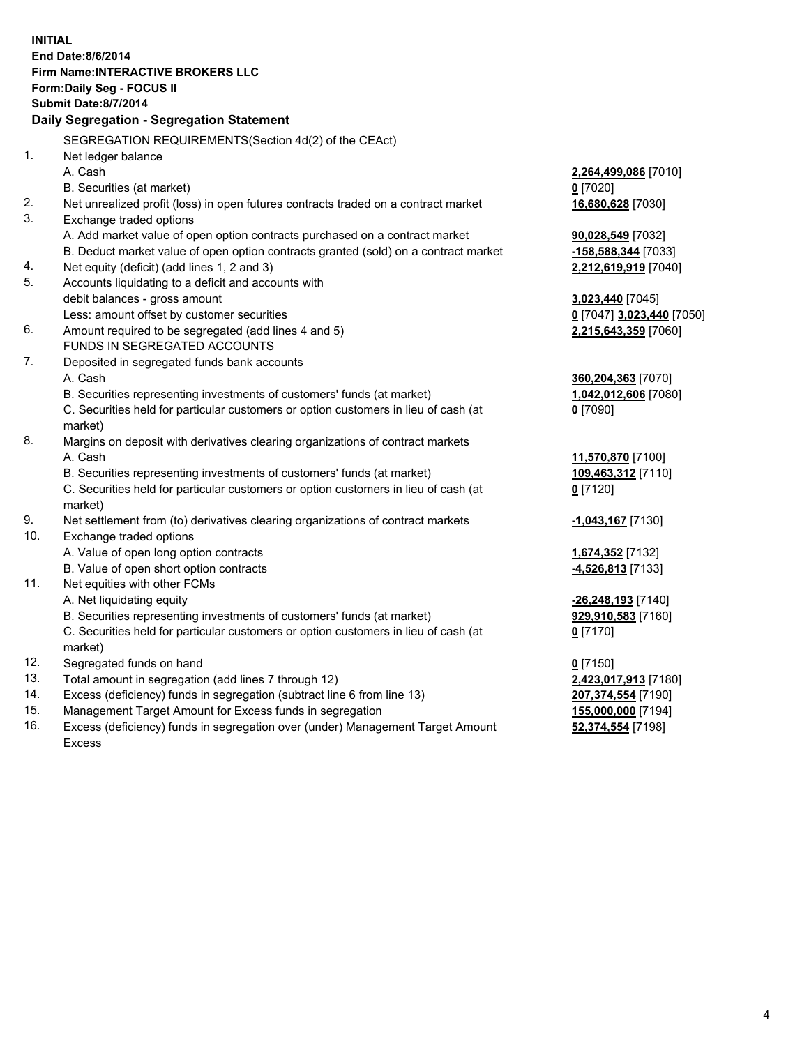**INITIAL End Date:8/6/2014 Firm Name:INTERACTIVE BROKERS LLC Form:Daily Seg - FOCUS II Submit Date:8/7/2014 Daily Segregation - Segregation Statement** SEGREGATION REQUIREMENTS(Section 4d(2) of the CEAct) 1. Net ledger balance A. Cash **2,264,499,086** [7010] B. Securities (at market) **0** [7020] 2. Net unrealized profit (loss) in open futures contracts traded on a contract market **16,680,628** [7030] 3. Exchange traded options A. Add market value of open option contracts purchased on a contract market **90,028,549** [7032] B. Deduct market value of open option contracts granted (sold) on a contract market **-158,588,344** [7033] 4. Net equity (deficit) (add lines 1, 2 and 3) **2,212,619,919** [7040] 5. Accounts liquidating to a deficit and accounts with debit balances - gross amount **3,023,440** [7045] Less: amount offset by customer securities **0** [7047] **3,023,440** [7050] 6. Amount required to be segregated (add lines 4 and 5) **2,215,643,359** [7060] FUNDS IN SEGREGATED ACCOUNTS 7. Deposited in segregated funds bank accounts A. Cash **360,204,363** [7070] B. Securities representing investments of customers' funds (at market) **1,042,012,606** [7080] C. Securities held for particular customers or option customers in lieu of cash (at market) **0** [7090] 8. Margins on deposit with derivatives clearing organizations of contract markets A. Cash **11,570,870** [7100] B. Securities representing investments of customers' funds (at market) **109,463,312** [7110] C. Securities held for particular customers or option customers in lieu of cash (at market) **0** [7120] 9. Net settlement from (to) derivatives clearing organizations of contract markets **-1,043,167** [7130] 10. Exchange traded options A. Value of open long option contracts **1,674,352** [7132] B. Value of open short option contracts **-4,526,813** [7133] 11. Net equities with other FCMs A. Net liquidating equity **-26,248,193** [7140] B. Securities representing investments of customers' funds (at market) **929,910,583** [7160] C. Securities held for particular customers or option customers in lieu of cash (at market) **0** [7170] 12. Segregated funds on hand **0** [7150] 13. Total amount in segregation (add lines 7 through 12) **2,423,017,913** [7180] 14. Excess (deficiency) funds in segregation (subtract line 6 from line 13) **207,374,554** [7190] 15. Management Target Amount for Excess funds in segregation **155,000,000** [7194]

16. Excess (deficiency) funds in segregation over (under) Management Target Amount Excess

**52,374,554** [7198]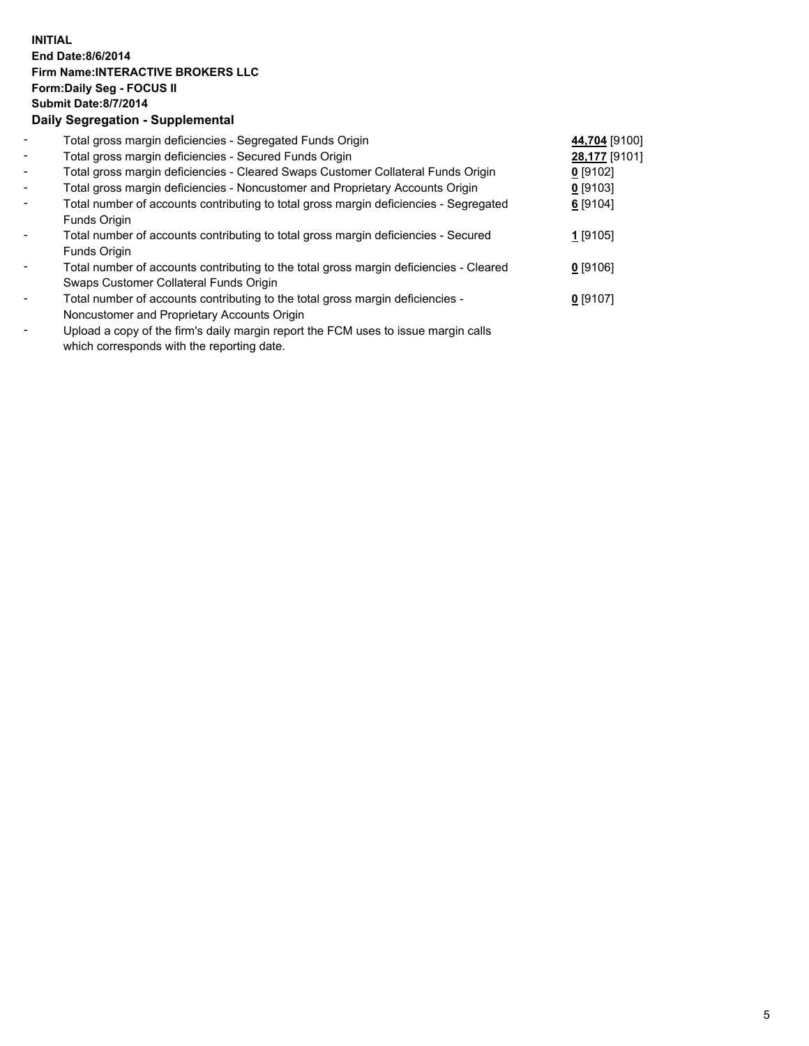## **INITIAL End Date:8/6/2014 Firm Name:INTERACTIVE BROKERS LLC Form:Daily Seg - FOCUS II Submit Date:8/7/2014 Daily Segregation - Supplemental**

| $\overline{\phantom{a}}$ | Total gross margin deficiencies - Segregated Funds Origin                              | 44,704 [9100] |  |
|--------------------------|----------------------------------------------------------------------------------------|---------------|--|
| $\blacksquare$           | Total gross margin deficiencies - Secured Funds Origin                                 | 28,177 [9101] |  |
| $\blacksquare$           | Total gross margin deficiencies - Cleared Swaps Customer Collateral Funds Origin       | $0$ [9102]    |  |
| $\overline{\phantom{a}}$ | Total gross margin deficiencies - Noncustomer and Proprietary Accounts Origin          | $0$ [9103]    |  |
| $\blacksquare$           | Total number of accounts contributing to total gross margin deficiencies - Segregated  | $6$ [9104]    |  |
|                          | Funds Origin                                                                           |               |  |
|                          | Total number of accounts contributing to total gross margin deficiencies - Secured     | 1 [9105]      |  |
|                          | Funds Origin                                                                           |               |  |
|                          | Total number of accounts contributing to the total gross margin deficiencies - Cleared | $0$ [9106]    |  |
|                          | Swaps Customer Collateral Funds Origin                                                 |               |  |
| $\overline{\phantom{a}}$ | Total number of accounts contributing to the total gross margin deficiencies -         | $0$ [9107]    |  |
|                          | Noncustomer and Proprietary Accounts Origin                                            |               |  |
|                          |                                                                                        |               |  |

- Upload a copy of the firm's daily margin report the FCM uses to issue margin calls which corresponds with the reporting date.